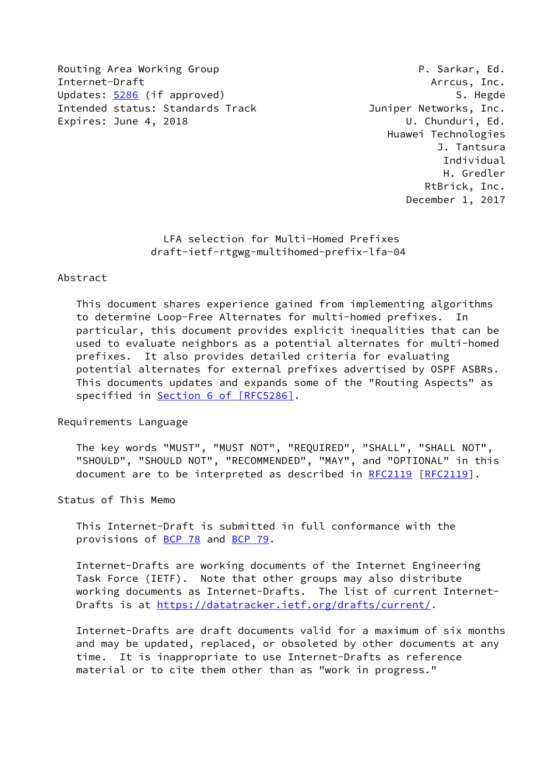Routing Area Working Group **P. Sarkar, Ed.** Internet-Draft Arrcus, Inc. Updates: [5286](https://datatracker.ietf.org/doc/pdf/rfc5286) (if approved) S. Hegde Intended status: Standards Track and Suniper Networks, Inc. Expires: June 4, 2018 U. Chunduri, Ed.

 Huawei Technologies J. Tantsura Individual H. Gredler RtBrick, Inc. December 1, 2017

 LFA selection for Multi-Homed Prefixes draft-ietf-rtgwg-multihomed-prefix-lfa-04

### Abstract

 This document shares experience gained from implementing algorithms to determine Loop-Free Alternates for multi-homed prefixes. In particular, this document provides explicit inequalities that can be used to evaluate neighbors as a potential alternates for multi-homed prefixes. It also provides detailed criteria for evaluating potential alternates for external prefixes advertised by OSPF ASBRs. This documents updates and expands some of the "Routing Aspects" as specified in Section [6 of \[RFC5286\]](https://datatracker.ietf.org/doc/pdf/rfc5286#section-6).

Requirements Language

 The key words "MUST", "MUST NOT", "REQUIRED", "SHALL", "SHALL NOT", "SHOULD", "SHOULD NOT", "RECOMMENDED", "MAY", and "OPTIONAL" in this document are to be interpreted as described in [RFC2119](https://datatracker.ietf.org/doc/pdf/rfc2119) [\[RFC2119](https://datatracker.ietf.org/doc/pdf/rfc2119)].

Status of This Memo

 This Internet-Draft is submitted in full conformance with the provisions of [BCP 78](https://datatracker.ietf.org/doc/pdf/bcp78) and [BCP 79](https://datatracker.ietf.org/doc/pdf/bcp79).

 Internet-Drafts are working documents of the Internet Engineering Task Force (IETF). Note that other groups may also distribute working documents as Internet-Drafts. The list of current Internet- Drafts is at<https://datatracker.ietf.org/drafts/current/>.

 Internet-Drafts are draft documents valid for a maximum of six months and may be updated, replaced, or obsoleted by other documents at any time. It is inappropriate to use Internet-Drafts as reference material or to cite them other than as "work in progress."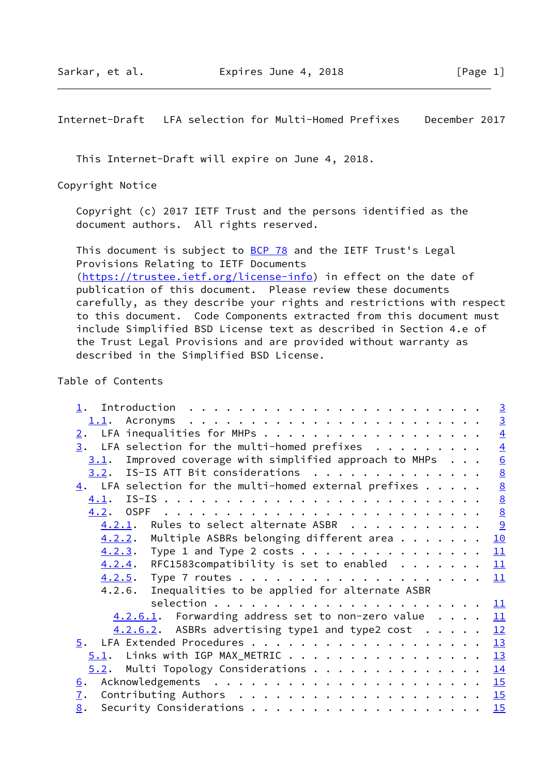This Internet-Draft will expire on June 4, 2018.

Copyright Notice

 Copyright (c) 2017 IETF Trust and the persons identified as the document authors. All rights reserved.

This document is subject to **[BCP 78](https://datatracker.ietf.org/doc/pdf/bcp78)** and the IETF Trust's Legal Provisions Relating to IETF Documents [\(https://trustee.ietf.org/license-info](https://trustee.ietf.org/license-info)) in effect on the date of publication of this document. Please review these documents carefully, as they describe your rights and restrictions with respect to this document. Code Components extracted from this document must include Simplified BSD License text as described in Section 4.e of the Trust Legal Provisions and are provided without warranty as described in the Simplified BSD License.

### Table of Contents

|                                                                          | $\overline{3}$  |
|--------------------------------------------------------------------------|-----------------|
| 1.1.                                                                     | $\overline{3}$  |
| LFA inequalities for MHPs<br>2.                                          | $\overline{4}$  |
| LFA selection for the multi-homed prefixes $\cdots$<br>3.                | $\overline{4}$  |
| Improved coverage with simplified approach to MHPs $\ldots$<br>3.1.      | $\underline{6}$ |
| $3.2$ . IS-IS ATT Bit considerations                                     | $\underline{8}$ |
| $\frac{4}{1}$ . LFA selection for the multi-homed external prefixes      | $\frac{8}{8}$   |
| 4.1.                                                                     |                 |
| 4.2.                                                                     | $\underline{8}$ |
| $4.2.1$ . Rules to select alternate ASBR                                 |                 |
| $4.2.2.$ Multiple ASBRs belonging different area                         | 10              |
| $4.2.3$ . Type 1 and Type 2 costs                                        | 11              |
| $4.2.4$ . RFC1583compatibility is set to enabled                         | 11              |
|                                                                          | 11              |
| Inequalities to be applied for alternate ASBR<br>4.2.6.                  |                 |
|                                                                          | 11              |
| $4.2.6.1$ . Forwarding address set to non-zero value                     | 11              |
| $4.2.6.2$ . ASBRs advertising type1 and type2 cost $\cdot \cdot \cdot$ . | 12              |
|                                                                          | 13              |
| $5.1$ . Links with IGP MAX_METRIC 13                                     |                 |
| Multi Topology Considerations 14<br>5.2.                                 |                 |
| 6.                                                                       |                 |
| $\mathbf{I}$ .                                                           |                 |
| 8.                                                                       | 15              |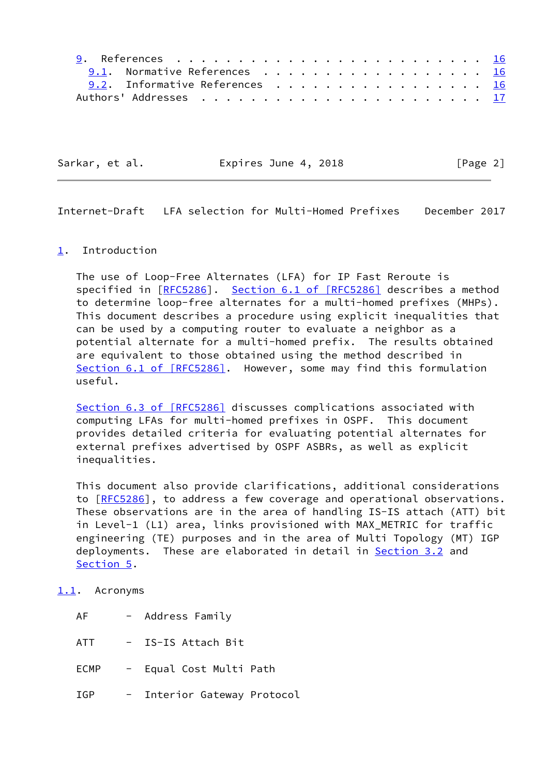| 9.1. Normative References 16   |  |  |  |  |  |  |  |  |  |
|--------------------------------|--|--|--|--|--|--|--|--|--|
| 9.2. Informative References 16 |  |  |  |  |  |  |  |  |  |
|                                |  |  |  |  |  |  |  |  |  |

Sarkar, et al. **Expires June 4, 2018** [Page 2]

<span id="page-2-1"></span>Internet-Draft LFA selection for Multi-Homed Prefixes December 2017

### <span id="page-2-0"></span>[1](#page-2-0). Introduction

 The use of Loop-Free Alternates (LFA) for IP Fast Reroute is specified in [\[RFC5286](https://datatracker.ietf.org/doc/pdf/rfc5286)]. Section [6.1 of \[RFC5286\]](https://datatracker.ietf.org/doc/pdf/rfc5286#section-6.1) describes a method to determine loop-free alternates for a multi-homed prefixes (MHPs). This document describes a procedure using explicit inequalities that can be used by a computing router to evaluate a neighbor as a potential alternate for a multi-homed prefix. The results obtained are equivalent to those obtained using the method described in Section [6.1 of \[RFC5286\]](https://datatracker.ietf.org/doc/pdf/rfc5286#section-6.1). However, some may find this formulation useful.

Section [6.3 of \[RFC5286\]](https://datatracker.ietf.org/doc/pdf/rfc5286#section-6.3) discusses complications associated with computing LFAs for multi-homed prefixes in OSPF. This document provides detailed criteria for evaluating potential alternates for external prefixes advertised by OSPF ASBRs, as well as explicit inequalities.

 This document also provide clarifications, additional considerations to [[RFC5286\]](https://datatracker.ietf.org/doc/pdf/rfc5286), to address a few coverage and operational observations. These observations are in the area of handling IS-IS attach (ATT) bit in Level-1 (L1) area, links provisioned with MAX\_METRIC for traffic engineering (TE) purposes and in the area of Multi Topology (MT) IGP deployments. These are elaborated in detail in **Section 3.2** and [Section 5](#page-14-0).

#### <span id="page-2-2"></span>[1.1](#page-2-2). Acronyms

| ΑF          | - Address Family          |  |
|-------------|---------------------------|--|
| ATT         | IS-IS Attach Bit          |  |
| <b>ECMP</b> | - Equal Cost Multi Path   |  |
| TGP         | Interior Gateway Protocol |  |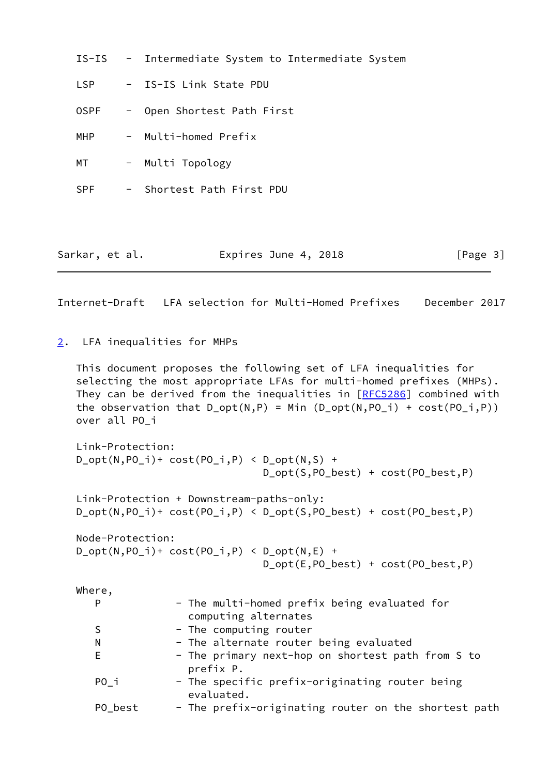|                |  | IS-IS - Intermediate System to Intermediate System |
|----------------|--|----------------------------------------------------|
| <b>LSP</b>     |  | - IS-IS Link State PDU                             |
| <b>OSPF</b>    |  | - Open Shortest Path First                         |
| MHP            |  | - Multi-homed Prefix                               |
| MT             |  | - Multi Topology                                   |
| <b>SPF</b>     |  | - Shortest Path First PDU                          |
|                |  |                                                    |
| Sarkar, et al. |  | Expires June 4, 2018<br>[Page $3$ ]                |

<span id="page-3-1"></span><span id="page-3-0"></span>[2](#page-3-0). LFA inequalities for MHPs

 This document proposes the following set of LFA inequalities for selecting the most appropriate LFAs for multi-homed prefixes (MHPs). They can be derived from the inequalities in [\[RFC5286](https://datatracker.ietf.org/doc/pdf/rfc5286)] combined with the observation that  $D_{opt}(N,P) = Min (D_{opt}(N,PO_i) + cost(PO_i,P))$ over all PO\_i

```
 Link-Protection:
D_{opt}(N, PO_{i})+ cost(PO_{i},P) < D_{opt}(N,S) +
                                  D_opt(S,PO_best) + cost(PO_best,P)
 Link-Protection + Downstream-paths-only:
 D_opt(N,PO_i)+ cost(PO_i,P) < D_opt(S,PO_best) + cost(PO_best,P)
 Node-Protection:
D_{opt}(N, PO_i) + cost(PO_i, P) < D_{opt}(N, E) +
                                  D_opt(E,PO_best) + cost(PO_best,P)
 Where,
```

| $w$ ilere, |                                                                      |
|------------|----------------------------------------------------------------------|
| P          | - The multi-homed prefix being evaluated for<br>computing alternates |
| S          | - The computing router                                               |
| N          | - The alternate router being evaluated                               |
| Е          | - The primary next-hop on shortest path from S to<br>prefix P.       |
| PO i       | - The specific prefix-originating router being<br>evaluated.         |
| PO best    | - The prefix-originating router on the shortest path                 |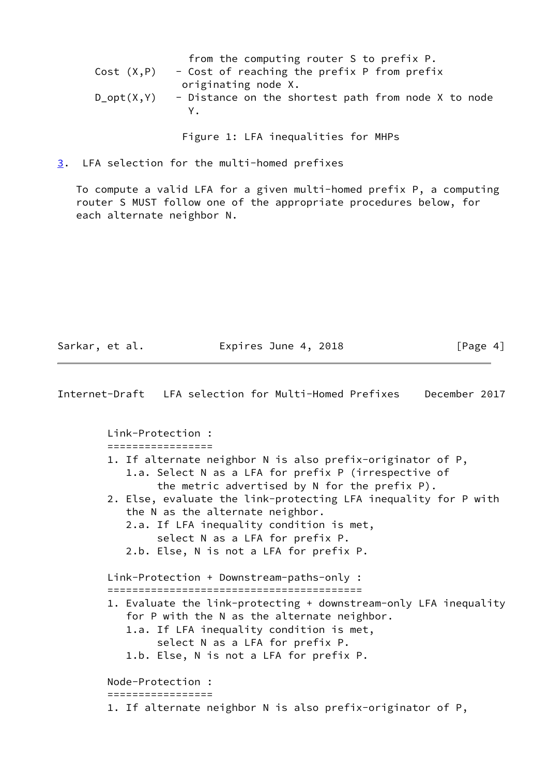|               | from the computing router S to prefix P.            |
|---------------|-----------------------------------------------------|
| Cost (X,P)    | - Cost of reaching the prefix P from prefix         |
|               | originating node X.                                 |
| $D\_opt(X,Y)$ | - Distance on the shortest path from node X to node |
|               | Y.                                                  |
|               |                                                     |

Figure 1: LFA inequalities for MHPs

<span id="page-4-0"></span>[3](#page-4-0). LFA selection for the multi-homed prefixes

 To compute a valid LFA for a given multi-homed prefix P, a computing router S MUST follow one of the appropriate procedures below, for each alternate neighbor N.

Sarkar, et al. **Expires June 4, 2018** [Page 4]

Internet-Draft LFA selection for Multi-Homed Prefixes December 2017 Link-Protection : ================= 1. If alternate neighbor N is also prefix-originator of P, 1.a. Select N as a LFA for prefix P (irrespective of the metric advertised by N for the prefix P). 2. Else, evaluate the link-protecting LFA inequality for P with the N as the alternate neighbor. 2.a. If LFA inequality condition is met, select N as a LFA for prefix P. 2.b. Else, N is not a LFA for prefix P. Link-Protection + Downstream-paths-only : ========================================= 1. Evaluate the link-protecting + downstream-only LFA inequality for P with the N as the alternate neighbor. 1.a. If LFA inequality condition is met, select N as a LFA for prefix P. 1.b. Else, N is not a LFA for prefix P. Node-Protection : ================= 1. If alternate neighbor N is also prefix-originator of P,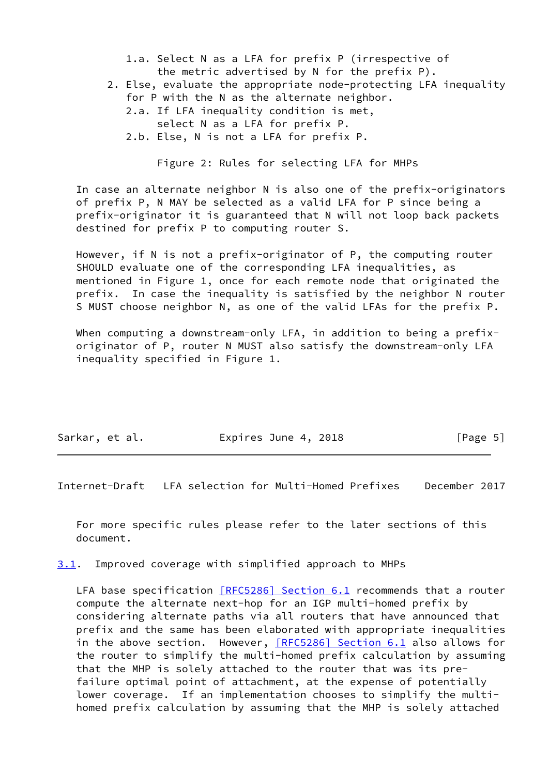- 1.a. Select N as a LFA for prefix P (irrespective of the metric advertised by N for the prefix P).
- 2. Else, evaluate the appropriate node-protecting LFA inequality for P with the N as the alternate neighbor.
	- 2.a. If LFA inequality condition is met, select N as a LFA for prefix P.
	- 2.b. Else, N is not a LFA for prefix P.

Figure 2: Rules for selecting LFA for MHPs

 In case an alternate neighbor N is also one of the prefix-originators of prefix P, N MAY be selected as a valid LFA for P since being a prefix-originator it is guaranteed that N will not loop back packets destined for prefix P to computing router S.

 However, if N is not a prefix-originator of P, the computing router SHOULD evaluate one of the corresponding LFA inequalities, as mentioned in Figure 1, once for each remote node that originated the prefix. In case the inequality is satisfied by the neighbor N router S MUST choose neighbor N, as one of the valid LFAs for the prefix P.

When computing a downstream-only LFA, in addition to being a prefix originator of P, router N MUST also satisfy the downstream-only LFA inequality specified in Figure 1.

| Sarkar, et al. | Expires June 4, 2018 | [Page 5] |
|----------------|----------------------|----------|

<span id="page-5-1"></span>Internet-Draft LFA selection for Multi-Homed Prefixes December 2017

 For more specific rules please refer to the later sections of this document.

<span id="page-5-0"></span>[3.1](#page-5-0). Improved coverage with simplified approach to MHPs

LFA base specification [\[RFC5286\] Section](https://datatracker.ietf.org/doc/pdf/rfc5286#section-6.1) 6.1 recommends that a router compute the alternate next-hop for an IGP multi-homed prefix by considering alternate paths via all routers that have announced that prefix and the same has been elaborated with appropriate inequalities in the above section. However, [\[RFC5286\] Section](https://datatracker.ietf.org/doc/pdf/rfc5286#section-6.1) 6.1 also allows for the router to simplify the multi-homed prefix calculation by assuming that the MHP is solely attached to the router that was its pre failure optimal point of attachment, at the expense of potentially lower coverage. If an implementation chooses to simplify the multi homed prefix calculation by assuming that the MHP is solely attached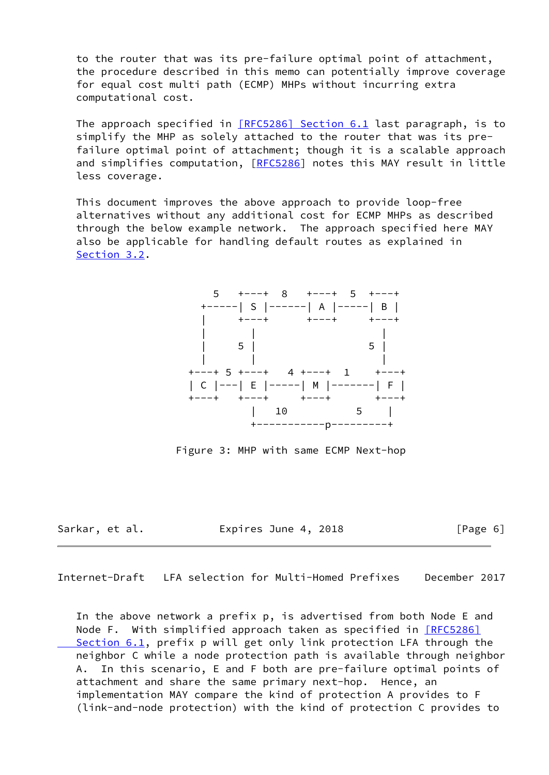to the router that was its pre-failure optimal point of attachment, the procedure described in this memo can potentially improve coverage for equal cost multi path (ECMP) MHPs without incurring extra computational cost.

The approach specified in [\[RFC5286\] Section](https://datatracker.ietf.org/doc/pdf/rfc5286#section-6.1) 6.1 last paragraph, is to simplify the MHP as solely attached to the router that was its pre failure optimal point of attachment; though it is a scalable approach and simplifies computation, [\[RFC5286](https://datatracker.ietf.org/doc/pdf/rfc5286)] notes this MAY result in little less coverage.

 This document improves the above approach to provide loop-free alternatives without any additional cost for ECMP MHPs as described through the below example network. The approach specified here MAY also be applicable for handling default routes as explained in [Section 3.2](#page-7-0).



Figure 3: MHP with same ECMP Next-hop

Sarkar, et al. **Expires June 4, 2018** [Page 6]

Internet-Draft LFA selection for Multi-Homed Prefixes December 2017

 In the above network a prefix p, is advertised from both Node E and Node F. With simplified approach taken as specified in [\[RFC5286\]](https://datatracker.ietf.org/doc/pdf/rfc5286#section-6.1) Section 6.1, prefix p will get only link protection LFA through the neighbor C while a node protection path is available through neighbor A. In this scenario, E and F both are pre-failure optimal points of attachment and share the same primary next-hop. Hence, an implementation MAY compare the kind of protection A provides to F (link-and-node protection) with the kind of protection C provides to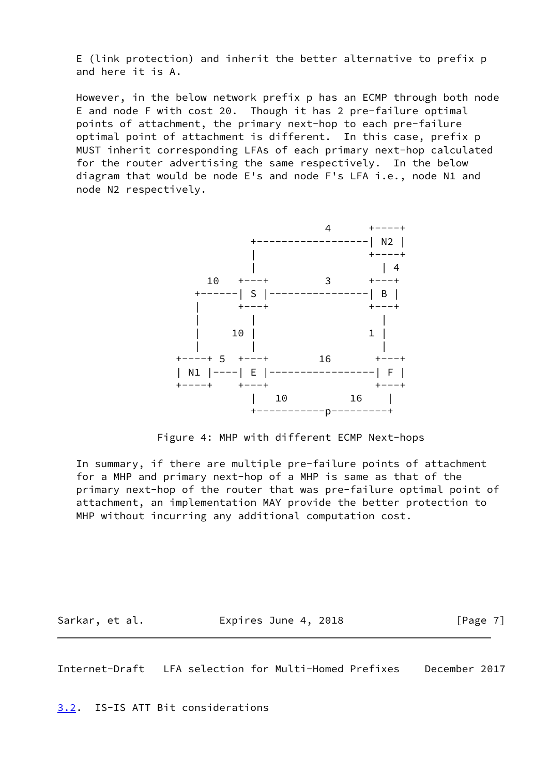E (link protection) and inherit the better alternative to prefix p and here it is A.

 However, in the below network prefix p has an ECMP through both node E and node F with cost 20. Though it has 2 pre-failure optimal points of attachment, the primary next-hop to each pre-failure optimal point of attachment is different. In this case, prefix p MUST inherit corresponding LFAs of each primary next-hop calculated for the router advertising the same respectively. In the below diagram that would be node E's and node F's LFA i.e., node N1 and node N2 respectively.



Figure 4: MHP with different ECMP Next-hops

 In summary, if there are multiple pre-failure points of attachment for a MHP and primary next-hop of a MHP is same as that of the primary next-hop of the router that was pre-failure optimal point of attachment, an implementation MAY provide the better protection to MHP without incurring any additional computation cost.

Sarkar, et al. **Expires June 4, 2018** [Page 7]

<span id="page-7-1"></span>Internet-Draft LFA selection for Multi-Homed Prefixes December 2017

<span id="page-7-0"></span>[3.2](#page-7-0). IS-IS ATT Bit considerations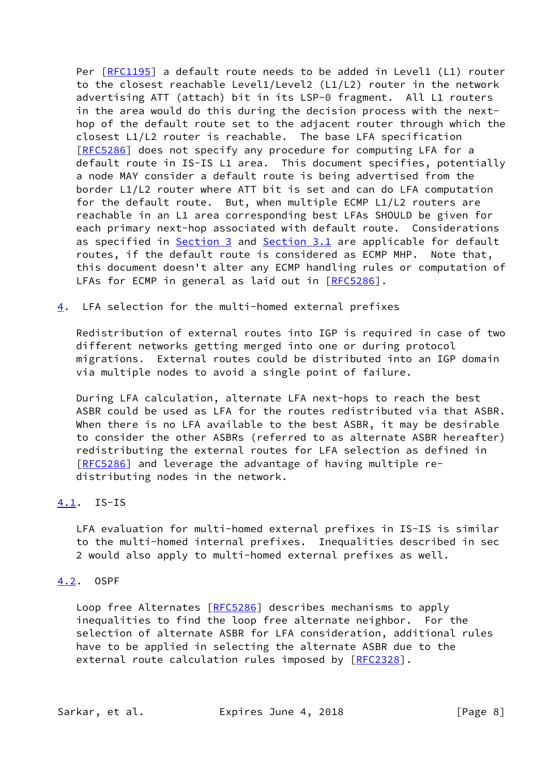Per [\[RFC1195](https://datatracker.ietf.org/doc/pdf/rfc1195)] a default route needs to be added in Level1 (L1) router to the closest reachable Level1/Level2 (L1/L2) router in the network advertising ATT (attach) bit in its LSP-0 fragment. All L1 routers in the area would do this during the decision process with the next hop of the default route set to the adjacent router through which the closest L1/L2 router is reachable. The base LFA specification [\[RFC5286](https://datatracker.ietf.org/doc/pdf/rfc5286)] does not specify any procedure for computing LFA for a default route in IS-IS L1 area. This document specifies, potentially a node MAY consider a default route is being advertised from the border L1/L2 router where ATT bit is set and can do LFA computation for the default route. But, when multiple ECMP L1/L2 routers are reachable in an L1 area corresponding best LFAs SHOULD be given for each primary next-hop associated with default route. Considerations as specified in [Section 3](#page-4-0) and [Section 3.1](#page-5-0) are applicable for default routes, if the default route is considered as ECMP MHP. Note that, this document doesn't alter any ECMP handling rules or computation of LFAs for ECMP in general as laid out in [\[RFC5286](https://datatracker.ietf.org/doc/pdf/rfc5286)].

<span id="page-8-0"></span>[4](#page-8-0). LFA selection for the multi-homed external prefixes

 Redistribution of external routes into IGP is required in case of two different networks getting merged into one or during protocol migrations. External routes could be distributed into an IGP domain via multiple nodes to avoid a single point of failure.

 During LFA calculation, alternate LFA next-hops to reach the best ASBR could be used as LFA for the routes redistributed via that ASBR. When there is no LFA available to the best ASBR, it may be desirable to consider the other ASBRs (referred to as alternate ASBR hereafter) redistributing the external routes for LFA selection as defined in [\[RFC5286](https://datatracker.ietf.org/doc/pdf/rfc5286)] and leverage the advantage of having multiple re distributing nodes in the network.

## <span id="page-8-1"></span>[4.1](#page-8-1). IS-IS

 LFA evaluation for multi-homed external prefixes in IS-IS is similar to the multi-homed internal prefixes. Inequalities described in sec 2 would also apply to multi-homed external prefixes as well.

### <span id="page-8-2"></span>[4.2](#page-8-2). OSPF

Loop free Alternates [\[RFC5286](https://datatracker.ietf.org/doc/pdf/rfc5286)] describes mechanisms to apply inequalities to find the loop free alternate neighbor. For the selection of alternate ASBR for LFA consideration, additional rules have to be applied in selecting the alternate ASBR due to the external route calculation rules imposed by [\[RFC2328](https://datatracker.ietf.org/doc/pdf/rfc2328)].

Sarkar, et al. **Expires June 4, 2018** [Page 8]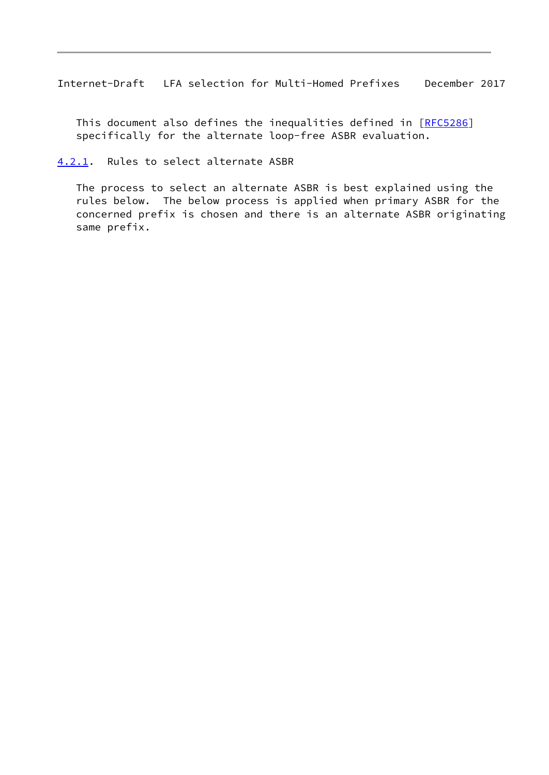<span id="page-9-1"></span>This document also defines the inequalities defined in [\[RFC5286](https://datatracker.ietf.org/doc/pdf/rfc5286)] specifically for the alternate loop-free ASBR evaluation.

<span id="page-9-0"></span>[4.2.1](#page-9-0). Rules to select alternate ASBR

 The process to select an alternate ASBR is best explained using the rules below. The below process is applied when primary ASBR for the concerned prefix is chosen and there is an alternate ASBR originating same prefix.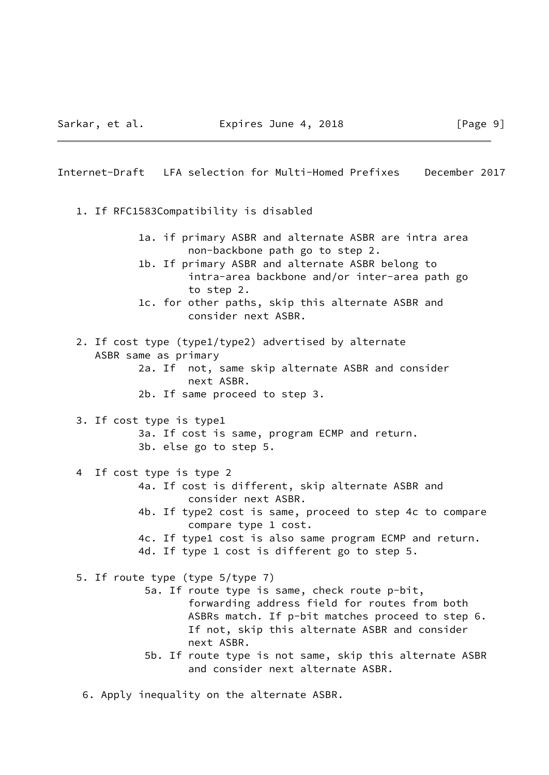# <span id="page-10-0"></span>Internet-Draft LFA selection for Multi-Homed Prefixes December 2017 1. If RFC1583Compatibility is disabled 1a. if primary ASBR and alternate ASBR are intra area non-backbone path go to step 2. 1b. If primary ASBR and alternate ASBR belong to intra-area backbone and/or inter-area path go to step 2. 1c. for other paths, skip this alternate ASBR and consider next ASBR. 2. If cost type (type1/type2) advertised by alternate ASBR same as primary 2a. If not, same skip alternate ASBR and consider next ASBR. 2b. If same proceed to step 3. 3. If cost type is type1 3a. If cost is same, program ECMP and return. 3b. else go to step 5. 4 If cost type is type 2 4a. If cost is different, skip alternate ASBR and consider next ASBR. 4b. If type2 cost is same, proceed to step 4c to compare compare type 1 cost. 4c. If type1 cost is also same program ECMP and return. 4d. If type 1 cost is different go to step 5. 5. If route type (type 5/type 7) 5a. If route type is same, check route p-bit, forwarding address field for routes from both ASBRs match. If p-bit matches proceed to step 6. If not, skip this alternate ASBR and consider next ASBR. 5b. If route type is not same, skip this alternate ASBR and consider next alternate ASBR.

6. Apply inequality on the alternate ASBR.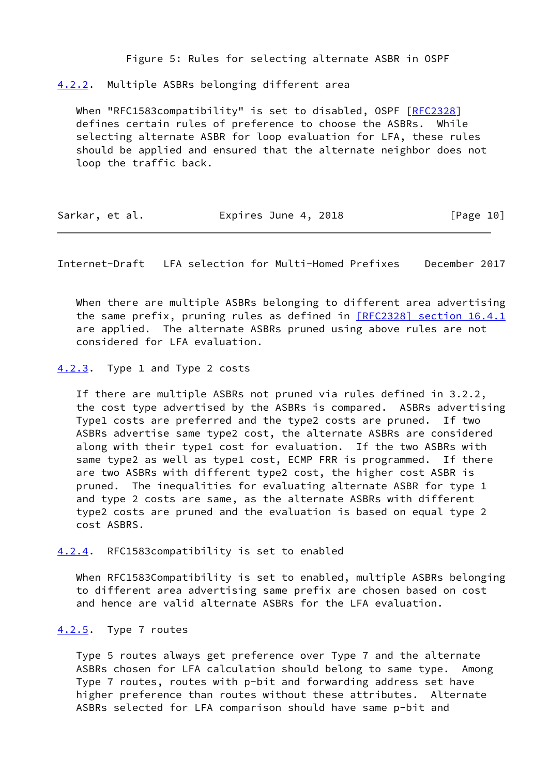Figure 5: Rules for selecting alternate ASBR in OSPF

<span id="page-11-0"></span>[4.2.2](#page-11-0). Multiple ASBRs belonging different area

When "RFC1583compatibility" is set to disabled, OSPF [\[RFC2328](https://datatracker.ietf.org/doc/pdf/rfc2328)] defines certain rules of preference to choose the ASBRs. While selecting alternate ASBR for loop evaluation for LFA, these rules should be applied and ensured that the alternate neighbor does not loop the traffic back.

|  | Sarkar, et al. | Expires June 4, 2018 | [Page 10] |
|--|----------------|----------------------|-----------|
|--|----------------|----------------------|-----------|

<span id="page-11-2"></span>Internet-Draft LFA selection for Multi-Homed Prefixes December 2017

 When there are multiple ASBRs belonging to different area advertising the same prefix, pruning rules as defined in [\[RFC2328\] section](https://datatracker.ietf.org/doc/pdf/rfc2328#section-16.4.1) 16.4.1 are applied. The alternate ASBRs pruned using above rules are not considered for LFA evaluation.

<span id="page-11-1"></span>[4.2.3](#page-11-1). Type 1 and Type 2 costs

 If there are multiple ASBRs not pruned via rules defined in 3.2.2, the cost type advertised by the ASBRs is compared. ASBRs advertising Type1 costs are preferred and the type2 costs are pruned. If two ASBRs advertise same type2 cost, the alternate ASBRs are considered along with their type1 cost for evaluation. If the two ASBRs with same type2 as well as type1 cost, ECMP FRR is programmed. If there are two ASBRs with different type2 cost, the higher cost ASBR is pruned. The inequalities for evaluating alternate ASBR for type 1 and type 2 costs are same, as the alternate ASBRs with different type2 costs are pruned and the evaluation is based on equal type 2 cost ASBRS.

<span id="page-11-3"></span>[4.2.4](#page-11-3). RFC1583compatibility is set to enabled

 When RFC1583Compatibility is set to enabled, multiple ASBRs belonging to different area advertising same prefix are chosen based on cost and hence are valid alternate ASBRs for the LFA evaluation.

### <span id="page-11-4"></span>[4.2.5](#page-11-4). Type 7 routes

 Type 5 routes always get preference over Type 7 and the alternate ASBRs chosen for LFA calculation should belong to same type. Among Type 7 routes, routes with p-bit and forwarding address set have higher preference than routes without these attributes. Alternate ASBRs selected for LFA comparison should have same p-bit and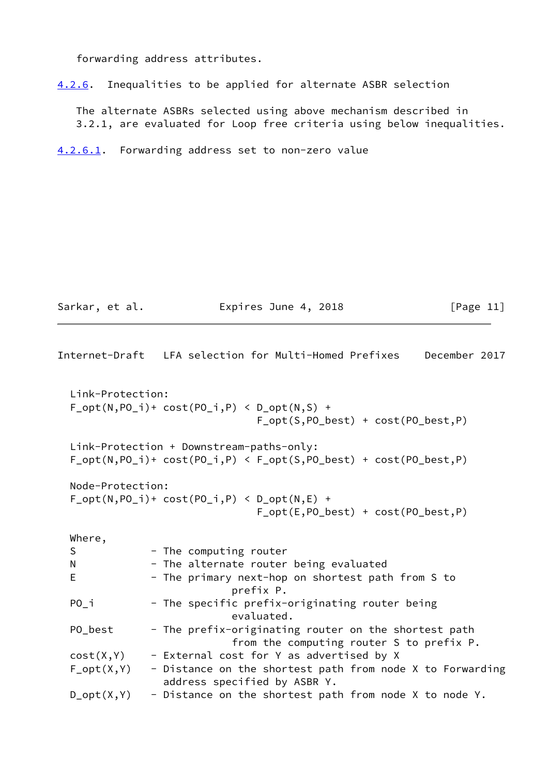forwarding address attributes.

<span id="page-12-2"></span>[4.2.6](#page-12-2). Inequalities to be applied for alternate ASBR selection

 The alternate ASBRs selected using above mechanism described in 3.2.1, are evaluated for Loop free criteria using below inequalities.

<span id="page-12-0"></span>[4.2.6.1](#page-12-0). Forwarding address set to non-zero value

Sarkar, et al. **Expires June 4, 2018** [Page 11]

<span id="page-12-1"></span>

|                  | Internet-Draft   LFA selection for Multi-Homed Prefixes<br>December 2017                                                            |
|------------------|-------------------------------------------------------------------------------------------------------------------------------------|
| Link-Protection: | $F_{opt(N, PO_i)+cost(PO_i, P)$ < $D_{opt(N, S) +}$<br>$F_{opt}(S, PO_{best}) + cost(PO_{best}, P)$                                 |
|                  | Link-Protection + Downstream-paths-only:<br>$F_{opt}(N, PO_i)$ + cost( $PO_i, P)$ < $F_{opt}(S, PO_{best})$ + cost( $PO_{best}, P)$ |
| Node-Protection: | $F_{opt(N, PO_i)+cost(PO_i, P)$ < $D_{opt(N, E) +}$<br>$F_{opt}(E, PO_{best}) + cost(PO_{best}, P)$                                 |
| Where,           |                                                                                                                                     |
| S                | - The computing router                                                                                                              |
| N                | - The alternate router being evaluated                                                                                              |
| E                | - The primary next-hop on shortest path from S to<br>prefix P.                                                                      |
| $PO_i$           | - The specific prefix-originating router being<br>evaluated.                                                                        |
| PO_best          | - The prefix-originating router on the shortest path<br>from the computing router S to prefix P.                                    |
| cost(X, Y)       | - External cost for Y as advertised by X                                                                                            |
| $F_{opt}(X,Y)$   | - Distance on the shortest path from node X to Forwarding<br>address specified by ASBR Y.                                           |
| $D_{opt}(X,Y)$   | - Distance on the shortest path from node X to node Y.                                                                              |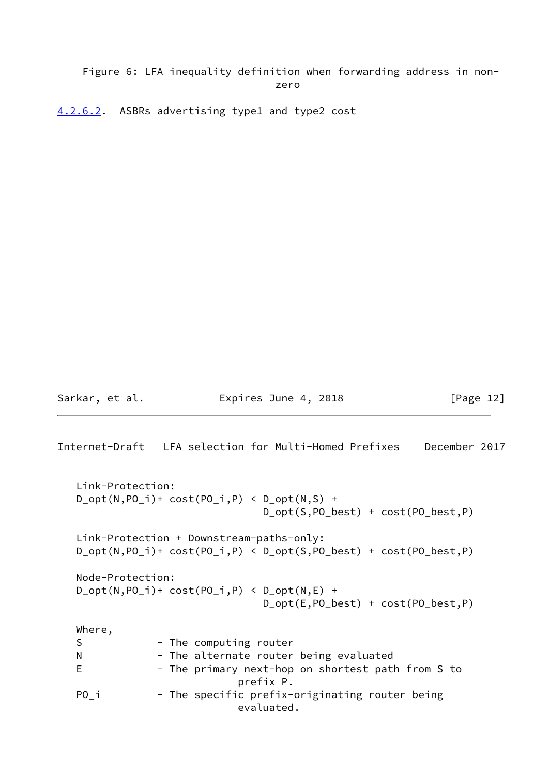## Figure 6: LFA inequality definition when forwarding address in non zero de la contrata de la contrata de la contrata de la contrata de la contrata de la contrata de la contrata d<br>En la contrata de la contrata de la contrata de la contrata de la contrata de la contrata de la contrata de la

<span id="page-13-0"></span>[4.2.6.2](#page-13-0). ASBRs advertising type1 and type2 cost

Sarkar, et al. **Expires June 4, 2018** [Page 12]

```
Internet-Draft LFA selection for Multi-Homed Prefixes December 2017
    Link-Protection:
  D_{opt}(N, PO_i)+ cost(PO_i, P() < D_{opt}(N, S) +
                                  D_opt(S,PO_best) + cost(PO_best,P)
   Link-Protection + Downstream-paths-only:
   D_opt(N,PO_i)+ cost(PO_i,P) < D_opt(S,PO_best) + cost(PO_best,P)
   Node-Protection:
  D_{\text{opt}}(N, PO_{i})+ cost(PO_{i},P) < D_{\text{opt}}(N, E) +
                                  D_opt(E,PO_best) + cost(PO_best,P)
   Where,
  S - The computing router
  N - The alternate router being evaluated
  E - The primary next-hop on shortest path from S to
                              prefix P.
  PO<sub>_</sub>i - The specific prefix-originating router being
                              evaluated.
```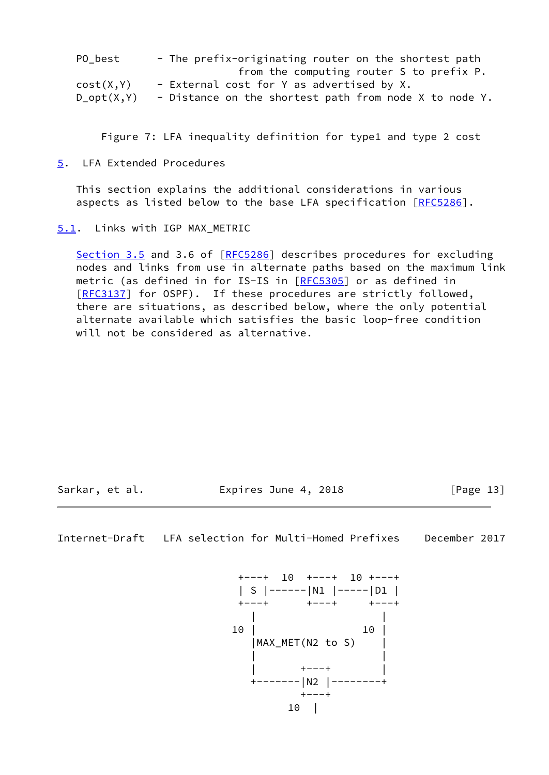| PO best         | - The prefix-originating router on the shortest path   |
|-----------------|--------------------------------------------------------|
|                 | from the computing router S to prefix P.               |
| cost(X, Y)      | - External cost for Y as advertised by X.              |
| $D_{opt}(X, Y)$ | - Distance on the shortest path from node X to node Y. |

Figure 7: LFA inequality definition for type1 and type 2 cost

<span id="page-14-0"></span>[5](#page-14-0). LFA Extended Procedures

 This section explains the additional considerations in various aspects as listed below to the base LFA specification [[RFC5286](https://datatracker.ietf.org/doc/pdf/rfc5286)].

<span id="page-14-1"></span>[5.1](#page-14-1). Links with IGP MAX\_METRIC

Section 3.5 and 3.6 of [\[RFC5286](https://datatracker.ietf.org/doc/pdf/rfc5286)] describes procedures for excluding nodes and links from use in alternate paths based on the maximum link metric (as defined in for IS-IS in [[RFC5305\]](https://datatracker.ietf.org/doc/pdf/rfc5305) or as defined in [\[RFC3137](https://datatracker.ietf.org/doc/pdf/rfc3137)] for OSPF). If these procedures are strictly followed, there are situations, as described below, where the only potential alternate available which satisfies the basic loop-free condition will not be considered as alternative.

Sarkar, et al. **Expires June 4, 2018** [Page 13]

<span id="page-14-2"></span>Internet-Draft LFA selection for Multi-Homed Prefixes December 2017

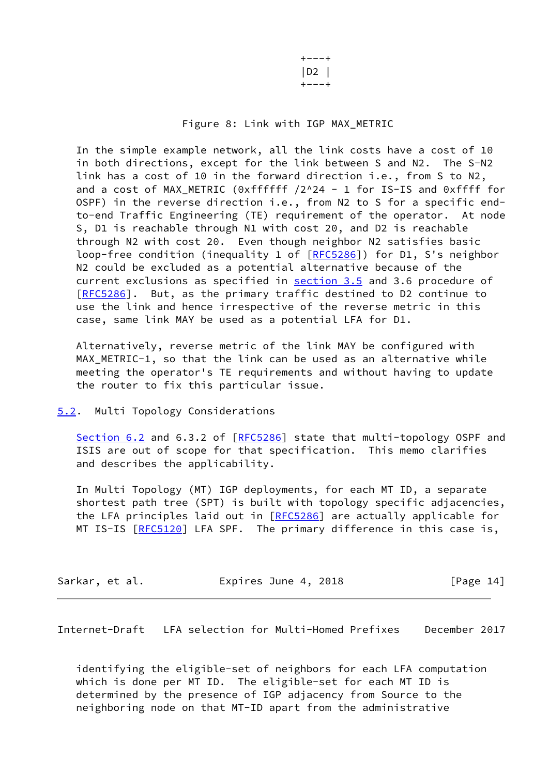+---+ |D2 | +---+

### Figure 8: Link with IGP MAX\_METRIC

 In the simple example network, all the link costs have a cost of 10 in both directions, except for the link between S and N2. The S-N2 link has a cost of 10 in the forward direction i.e., from S to N2, and a cost of MAX\_METRIC (0xffffff /2^24 - 1 for IS-IS and 0xffff for OSPF) in the reverse direction i.e., from N2 to S for a specific end to-end Traffic Engineering (TE) requirement of the operator. At node S, D1 is reachable through N1 with cost 20, and D2 is reachable through N2 with cost 20. Even though neighbor N2 satisfies basic loop-free condition (inequality 1 of [\[RFC5286](https://datatracker.ietf.org/doc/pdf/rfc5286)]) for D1, S's neighbor N2 could be excluded as a potential alternative because of the current exclusions as specified in section 3.5 and 3.6 procedure of [\[RFC5286](https://datatracker.ietf.org/doc/pdf/rfc5286)]. But, as the primary traffic destined to D2 continue to use the link and hence irrespective of the reverse metric in this case, same link MAY be used as a potential LFA for D1.

 Alternatively, reverse metric of the link MAY be configured with MAX\_METRIC-1, so that the link can be used as an alternative while meeting the operator's TE requirements and without having to update the router to fix this particular issue.

### <span id="page-15-0"></span>[5.2](#page-15-0). Multi Topology Considerations

Section 6.2 and 6.3.2 of [\[RFC5286](https://datatracker.ietf.org/doc/pdf/rfc5286)] state that multi-topology OSPF and ISIS are out of scope for that specification. This memo clarifies and describes the applicability.

 In Multi Topology (MT) IGP deployments, for each MT ID, a separate shortest path tree (SPT) is built with topology specific adjacencies, the LFA principles laid out in [\[RFC5286](https://datatracker.ietf.org/doc/pdf/rfc5286)] are actually applicable for MT IS-IS [\[RFC5120](https://datatracker.ietf.org/doc/pdf/rfc5120)] LFA SPF. The primary difference in this case is,

| Sarkar, et al. | Expires June 4, 2018 | [Page 14] |
|----------------|----------------------|-----------|
|----------------|----------------------|-----------|

<span id="page-15-1"></span>Internet-Draft LFA selection for Multi-Homed Prefixes December 2017

 identifying the eligible-set of neighbors for each LFA computation which is done per MT ID. The eligible-set for each MT ID is determined by the presence of IGP adjacency from Source to the neighboring node on that MT-ID apart from the administrative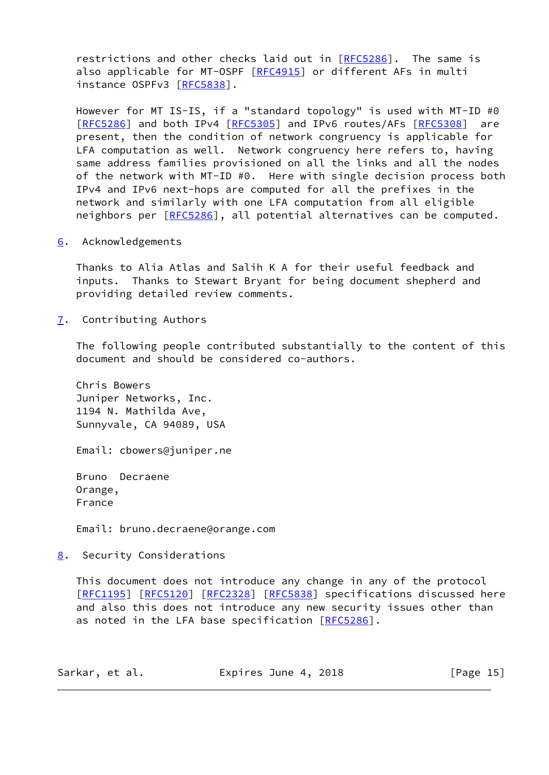restrictions and other checks laid out in [[RFC5286](https://datatracker.ietf.org/doc/pdf/rfc5286)]. The same is also applicable for MT-OSPF [\[RFC4915](https://datatracker.ietf.org/doc/pdf/rfc4915)] or different AFs in multi instance OSPFv3 [\[RFC5838](https://datatracker.ietf.org/doc/pdf/rfc5838)].

 However for MT IS-IS, if a "standard topology" is used with MT-ID #0 [\[RFC5286](https://datatracker.ietf.org/doc/pdf/rfc5286)] and both IPv4 [\[RFC5305](https://datatracker.ietf.org/doc/pdf/rfc5305)] and IPv6 routes/AFs [[RFC5308](https://datatracker.ietf.org/doc/pdf/rfc5308)] are present, then the condition of network congruency is applicable for LFA computation as well. Network congruency here refers to, having same address families provisioned on all the links and all the nodes of the network with MT-ID #0. Here with single decision process both IPv4 and IPv6 next-hops are computed for all the prefixes in the network and similarly with one LFA computation from all eligible neighbors per [[RFC5286](https://datatracker.ietf.org/doc/pdf/rfc5286)], all potential alternatives can be computed.

<span id="page-16-0"></span>[6](#page-16-0). Acknowledgements

 Thanks to Alia Atlas and Salih K A for their useful feedback and inputs. Thanks to Stewart Bryant for being document shepherd and providing detailed review comments.

<span id="page-16-1"></span>[7](#page-16-1). Contributing Authors

 The following people contributed substantially to the content of this document and should be considered co-authors.

 Chris Bowers Juniper Networks, Inc. 1194 N. Mathilda Ave, Sunnyvale, CA 94089, USA

Email: cbowers@juniper.ne

 Bruno Decraene Orange, France

Email: bruno.decraene@orange.com

<span id="page-16-2"></span>[8](#page-16-2). Security Considerations

 This document does not introduce any change in any of the protocol [\[RFC1195](https://datatracker.ietf.org/doc/pdf/rfc1195)] [[RFC5120](https://datatracker.ietf.org/doc/pdf/rfc5120)] [\[RFC2328](https://datatracker.ietf.org/doc/pdf/rfc2328)] [[RFC5838](https://datatracker.ietf.org/doc/pdf/rfc5838)] specifications discussed here and also this does not introduce any new security issues other than as noted in the LFA base specification [\[RFC5286](https://datatracker.ietf.org/doc/pdf/rfc5286)].

| Sarkar, et al. | Expires June 4, 2018 | [Page 15] |
|----------------|----------------------|-----------|
|----------------|----------------------|-----------|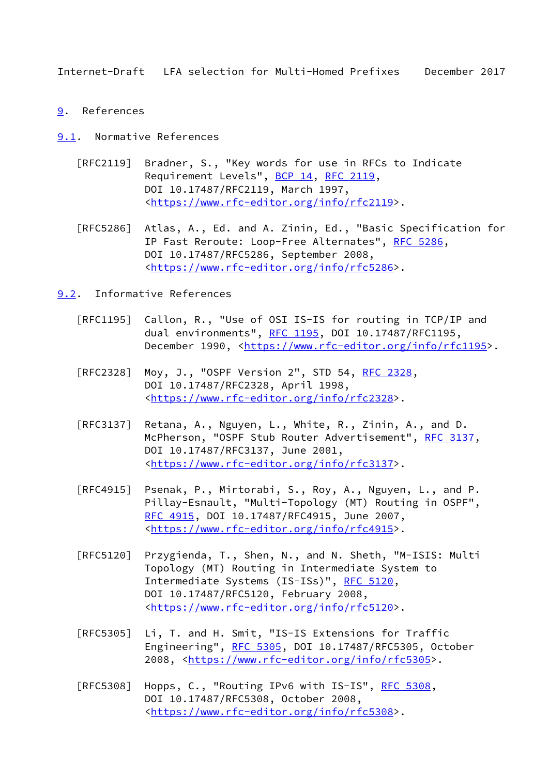- <span id="page-17-1"></span><span id="page-17-0"></span>[9](#page-17-0). References
- <span id="page-17-2"></span>[9.1](#page-17-2). Normative References
	- [RFC2119] Bradner, S., "Key words for use in RFCs to Indicate Requirement Levels", [BCP 14](https://datatracker.ietf.org/doc/pdf/bcp14), [RFC 2119](https://datatracker.ietf.org/doc/pdf/rfc2119), DOI 10.17487/RFC2119, March 1997, <[https://www.rfc-editor.org/info/rfc2119>](https://www.rfc-editor.org/info/rfc2119).
	- [RFC5286] Atlas, A., Ed. and A. Zinin, Ed., "Basic Specification for IP Fast Reroute: Loop-Free Alternates", [RFC 5286,](https://datatracker.ietf.org/doc/pdf/rfc5286) DOI 10.17487/RFC5286, September 2008, <[https://www.rfc-editor.org/info/rfc5286>](https://www.rfc-editor.org/info/rfc5286).
- <span id="page-17-3"></span>[9.2](#page-17-3). Informative References
	- [RFC1195] Callon, R., "Use of OSI IS-IS for routing in TCP/IP and dual environments", [RFC 1195,](https://datatracker.ietf.org/doc/pdf/rfc1195) DOI 10.17487/RFC1195, December 1990, <<https://www.rfc-editor.org/info/rfc1195>>.
	- [RFC2328] Moy, J., "OSPF Version 2", STD 54, [RFC 2328](https://datatracker.ietf.org/doc/pdf/rfc2328), DOI 10.17487/RFC2328, April 1998, <[https://www.rfc-editor.org/info/rfc2328>](https://www.rfc-editor.org/info/rfc2328).
	- [RFC3137] Retana, A., Nguyen, L., White, R., Zinin, A., and D. McPherson, "OSPF Stub Router Advertisement", [RFC 3137](https://datatracker.ietf.org/doc/pdf/rfc3137), DOI 10.17487/RFC3137, June 2001, <[https://www.rfc-editor.org/info/rfc3137>](https://www.rfc-editor.org/info/rfc3137).
	- [RFC4915] Psenak, P., Mirtorabi, S., Roy, A., Nguyen, L., and P. Pillay-Esnault, "Multi-Topology (MT) Routing in OSPF", [RFC 4915,](https://datatracker.ietf.org/doc/pdf/rfc4915) DOI 10.17487/RFC4915, June 2007, <[https://www.rfc-editor.org/info/rfc4915>](https://www.rfc-editor.org/info/rfc4915).
	- [RFC5120] Przygienda, T., Shen, N., and N. Sheth, "M-ISIS: Multi Topology (MT) Routing in Intermediate System to Intermediate Systems (IS-ISs)", [RFC 5120,](https://datatracker.ietf.org/doc/pdf/rfc5120) DOI 10.17487/RFC5120, February 2008, <[https://www.rfc-editor.org/info/rfc5120>](https://www.rfc-editor.org/info/rfc5120).
	- [RFC5305] Li, T. and H. Smit, "IS-IS Extensions for Traffic Engineering", [RFC 5305](https://datatracker.ietf.org/doc/pdf/rfc5305), DOI 10.17487/RFC5305, October 2008, [<https://www.rfc-editor.org/info/rfc5305](https://www.rfc-editor.org/info/rfc5305)>.
	- [RFC5308] Hopps, C., "Routing IPv6 with IS-IS", [RFC 5308](https://datatracker.ietf.org/doc/pdf/rfc5308), DOI 10.17487/RFC5308, October 2008, <[https://www.rfc-editor.org/info/rfc5308>](https://www.rfc-editor.org/info/rfc5308).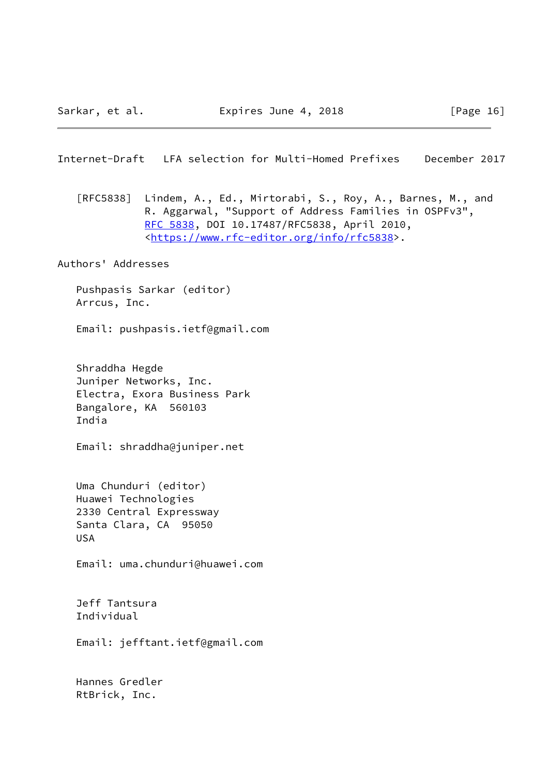<span id="page-18-0"></span> [RFC5838] Lindem, A., Ed., Mirtorabi, S., Roy, A., Barnes, M., and R. Aggarwal, "Support of Address Families in OSPFv3", [RFC 5838,](https://datatracker.ietf.org/doc/pdf/rfc5838) DOI 10.17487/RFC5838, April 2010, <[https://www.rfc-editor.org/info/rfc5838>](https://www.rfc-editor.org/info/rfc5838).

Authors' Addresses

 Pushpasis Sarkar (editor) Arrcus, Inc.

Email: pushpasis.ietf@gmail.com

 Shraddha Hegde Juniper Networks, Inc. Electra, Exora Business Park Bangalore, KA 560103 India

Email: shraddha@juniper.net

 Uma Chunduri (editor) Huawei Technologies 2330 Central Expressway Santa Clara, CA 95050 USA

Email: uma.chunduri@huawei.com

 Jeff Tantsura Individual

Email: jefftant.ietf@gmail.com

 Hannes Gredler RtBrick, Inc.